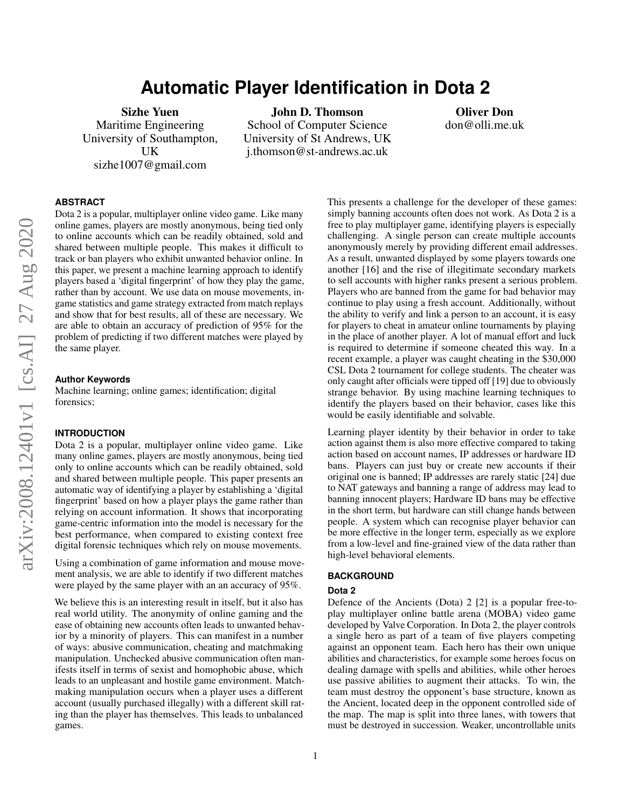# **Automatic Player Identification in Dota 2**

Sizhe Yuen Maritime Engineering University of Southampton, UK sizhe1007@gmail.com

John D. Thomson

School of Computer Science University of St Andrews, UK j.thomson@st-andrews.ac.uk

Oliver Don don@olli.me.uk

# **ABSTRACT**

Dota 2 is a popular, multiplayer online video game. Like many online games, players are mostly anonymous, being tied only to online accounts which can be readily obtained, sold and shared between multiple people. This makes it difficult to track or ban players who exhibit unwanted behavior online. In this paper, we present a machine learning approach to identify players based a 'digital fingerprint' of how they play the game, rather than by account. We use data on mouse movements, ingame statistics and game strategy extracted from match replays and show that for best results, all of these are necessary. We are able to obtain an accuracy of prediction of 95% for the problem of predicting if two different matches were played by the same player.

### **Author Keywords**

Machine learning; online games; identification; digital forensics;

### **INTRODUCTION**

Dota 2 is a popular, multiplayer online video game. Like many online games, players are mostly anonymous, being tied only to online accounts which can be readily obtained, sold and shared between multiple people. This paper presents an automatic way of identifying a player by establishing a 'digital fingerprint' based on how a player plays the game rather than relying on account information. It shows that incorporating game-centric information into the model is necessary for the best performance, when compared to existing context free digital forensic techniques which rely on mouse movements.

Using a combination of game information and mouse movement analysis, we are able to identify if two different matches were played by the same player with an an accuracy of 95%.

We believe this is an interesting result in itself, but it also has real world utility. The anonymity of online gaming and the ease of obtaining new accounts often leads to unwanted behavior by a minority of players. This can manifest in a number of ways: abusive communication, cheating and matchmaking manipulation. Unchecked abusive communication often manifests itself in terms of sexist and homophobic abuse, which leads to an unpleasant and hostile game environment. Matchmaking manipulation occurs when a player uses a different account (usually purchased illegally) with a different skill rating than the player has themselves. This leads to unbalanced games.

This presents a challenge for the developer of these games: simply banning accounts often does not work. As Dota 2 is a free to play multiplayer game, identifying players is especially challenging. A single person can create multiple accounts anonymously merely by providing different email addresses. As a result, unwanted displayed by some players towards one another [16] and the rise of illegitimate secondary markets to sell accounts with higher ranks present a serious problem. Players who are banned from the game for bad behavior may continue to play using a fresh account. Additionally, without the ability to verify and link a person to an account, it is easy for players to cheat in amateur online tournaments by playing in the place of another player. A lot of manual effort and luck is required to determine if someone cheated this way. In a recent example, a player was caught cheating in the \$30,000 CSL Dota 2 tournament for college students. The cheater was only caught after officials were tipped off [19] due to obviously strange behavior. By using machine learning techniques to identify the players based on their behavior, cases like this would be easily identifiable and solvable.

Learning player identity by their behavior in order to take action against them is also more effective compared to taking action based on account names, IP addresses or hardware ID bans. Players can just buy or create new accounts if their original one is banned; IP addresses are rarely static [24] due to NAT gateways and banning a range of address may lead to banning innocent players; Hardware ID bans may be effective in the short term, but hardware can still change hands between people. A system which can recognise player behavior can be more effective in the longer term, especially as we explore from a low-level and fine-grained view of the data rather than high-level behavioral elements.

### **BACKGROUND**

# **Dota 2**

Defence of the Ancients (Dota) 2 [2] is a popular free-toplay multiplayer online battle arena (MOBA) video game developed by Valve Corporation. In Dota 2, the player controls a single hero as part of a team of five players competing against an opponent team. Each hero has their own unique abilities and characteristics, for example some heroes focus on dealing damage with spells and abilities, while other heroes use passive abilities to augment their attacks. To win, the team must destroy the opponent's base structure, known as the Ancient, located deep in the opponent controlled side of the map. The map is split into three lanes, with towers that must be destroyed in succession. Weaker, uncontrollable units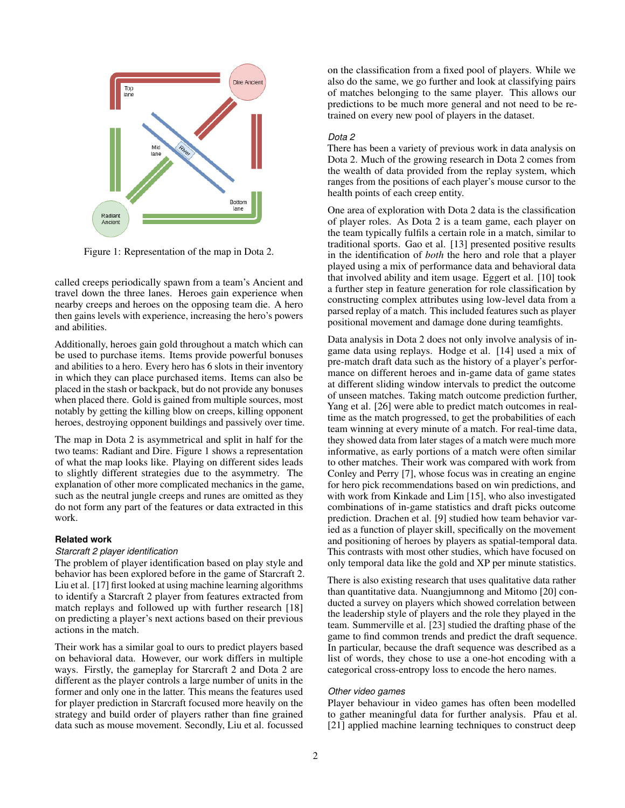

Figure 1: Representation of the map in Dota 2.

called creeps periodically spawn from a team's Ancient and travel down the three lanes. Heroes gain experience when nearby creeps and heroes on the opposing team die. A hero then gains levels with experience, increasing the hero's powers and abilities.

Additionally, heroes gain gold throughout a match which can be used to purchase items. Items provide powerful bonuses and abilities to a hero. Every hero has 6 slots in their inventory in which they can place purchased items. Items can also be placed in the stash or backpack, but do not provide any bonuses when placed there. Gold is gained from multiple sources, most notably by getting the killing blow on creeps, killing opponent heroes, destroying opponent buildings and passively over time.

The map in Dota 2 is asymmetrical and split in half for the two teams: Radiant and Dire. Figure 1 shows a representation of what the map looks like. Playing on different sides leads to slightly different strategies due to the asymmetry. The explanation of other more complicated mechanics in the game, such as the neutral jungle creeps and runes are omitted as they do not form any part of the features or data extracted in this work.

# **Related work**

### *Starcraft 2 player identification*

The problem of player identification based on play style and behavior has been explored before in the game of Starcraft 2. Liu et al. [17] first looked at using machine learning algorithms to identify a Starcraft 2 player from features extracted from match replays and followed up with further research [18] on predicting a player's next actions based on their previous actions in the match.

Their work has a similar goal to ours to predict players based on behavioral data. However, our work differs in multiple ways. Firstly, the gameplay for Starcraft 2 and Dota 2 are different as the player controls a large number of units in the former and only one in the latter. This means the features used for player prediction in Starcraft focused more heavily on the strategy and build order of players rather than fine grained data such as mouse movement. Secondly, Liu et al. focussed on the classification from a fixed pool of players. While we also do the same, we go further and look at classifying pairs of matches belonging to the same player. This allows our predictions to be much more general and not need to be retrained on every new pool of players in the dataset.

### *Dota 2*

There has been a variety of previous work in data analysis on Dota 2. Much of the growing research in Dota 2 comes from the wealth of data provided from the replay system, which ranges from the positions of each player's mouse cursor to the health points of each creep entity.

One area of exploration with Dota 2 data is the classification of player roles. As Dota 2 is a team game, each player on the team typically fulfils a certain role in a match, similar to traditional sports. Gao et al. [13] presented positive results in the identification of *both* the hero and role that a player played using a mix of performance data and behavioral data that involved ability and item usage. Eggert et al. [10] took a further step in feature generation for role classification by constructing complex attributes using low-level data from a parsed replay of a match. This included features such as player positional movement and damage done during teamfights.

Data analysis in Dota 2 does not only involve analysis of ingame data using replays. Hodge et al. [14] used a mix of pre-match draft data such as the history of a player's performance on different heroes and in-game data of game states at different sliding window intervals to predict the outcome of unseen matches. Taking match outcome prediction further, Yang et al. [26] were able to predict match outcomes in realtime as the match progressed, to get the probabilities of each team winning at every minute of a match. For real-time data, they showed data from later stages of a match were much more informative, as early portions of a match were often similar to other matches. Their work was compared with work from Conley and Perry [7], whose focus was in creating an engine for hero pick recommendations based on win predictions, and with work from Kinkade and Lim [15], who also investigated combinations of in-game statistics and draft picks outcome prediction. Drachen et al. [9] studied how team behavior varied as a function of player skill, specifically on the movement and positioning of heroes by players as spatial-temporal data. This contrasts with most other studies, which have focused on only temporal data like the gold and XP per minute statistics.

There is also existing research that uses qualitative data rather than quantitative data. Nuangjumnong and Mitomo [20] conducted a survey on players which showed correlation between the leadership style of players and the role they played in the team. Summerville et al. [23] studied the drafting phase of the game to find common trends and predict the draft sequence. In particular, because the draft sequence was described as a list of words, they chose to use a one-hot encoding with a categorical cross-entropy loss to encode the hero names.

#### *Other video games*

Player behaviour in video games has often been modelled to gather meaningful data for further analysis. Pfau et al. [21] applied machine learning techniques to construct deep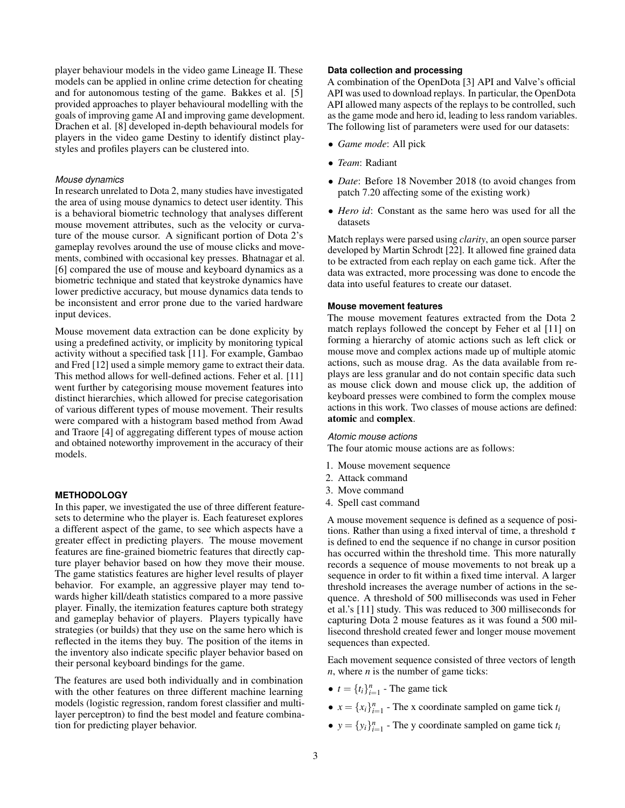player behaviour models in the video game Lineage II. These models can be applied in online crime detection for cheating and for autonomous testing of the game. Bakkes et al. [5] provided approaches to player behavioural modelling with the goals of improving game AI and improving game development. Drachen et al. [8] developed in-depth behavioural models for players in the video game Destiny to identify distinct playstyles and profiles players can be clustered into.

### *Mouse dynamics*

In research unrelated to Dota 2, many studies have investigated the area of using mouse dynamics to detect user identity. This is a behavioral biometric technology that analyses different mouse movement attributes, such as the velocity or curvature of the mouse cursor. A significant portion of Dota 2's gameplay revolves around the use of mouse clicks and movements, combined with occasional key presses. Bhatnagar et al. [6] compared the use of mouse and keyboard dynamics as a biometric technique and stated that keystroke dynamics have lower predictive accuracy, but mouse dynamics data tends to be inconsistent and error prone due to the varied hardware input devices.

Mouse movement data extraction can be done explicity by using a predefined activity, or implicity by monitoring typical activity without a specified task [11]. For example, Gambao and Fred [12] used a simple memory game to extract their data. This method allows for well-defined actions. Feher et al. [11] went further by categorising mouse movement features into distinct hierarchies, which allowed for precise categorisation of various different types of mouse movement. Their results were compared with a histogram based method from Awad and Traore [4] of aggregating different types of mouse action and obtained noteworthy improvement in the accuracy of their models.

### **METHODOLOGY**

In this paper, we investigated the use of three different featuresets to determine who the player is. Each featureset explores a different aspect of the game, to see which aspects have a greater effect in predicting players. The mouse movement features are fine-grained biometric features that directly capture player behavior based on how they move their mouse. The game statistics features are higher level results of player behavior. For example, an aggressive player may tend towards higher kill/death statistics compared to a more passive player. Finally, the itemization features capture both strategy and gameplay behavior of players. Players typically have strategies (or builds) that they use on the same hero which is reflected in the items they buy. The position of the items in the inventory also indicate specific player behavior based on their personal keyboard bindings for the game.

The features are used both individually and in combination with the other features on three different machine learning models (logistic regression, random forest classifier and multilayer perceptron) to find the best model and feature combination for predicting player behavior.

# **Data collection and processing**

A combination of the OpenDota [3] API and Valve's official API was used to download replays. In particular, the OpenDota API allowed many aspects of the replays to be controlled, such as the game mode and hero id, leading to less random variables. The following list of parameters were used for our datasets:

- *Game mode*: All pick
- *Team*: Radiant
- *Date*: Before 18 November 2018 (to avoid changes from patch 7.20 affecting some of the existing work)
- *Hero id*: Constant as the same hero was used for all the datasets

Match replays were parsed using *clarity*, an open source parser developed by Martin Schrodt [22]. It allowed fine grained data to be extracted from each replay on each game tick. After the data was extracted, more processing was done to encode the data into useful features to create our dataset.

### **Mouse movement features**

The mouse movement features extracted from the Dota 2 match replays followed the concept by Feher et al [11] on forming a hierarchy of atomic actions such as left click or mouse move and complex actions made up of multiple atomic actions, such as mouse drag. As the data available from replays are less granular and do not contain specific data such as mouse click down and mouse click up, the addition of keyboard presses were combined to form the complex mouse actions in this work. Two classes of mouse actions are defined: atomic and complex.

#### *Atomic mouse actions*

The four atomic mouse actions are as follows:

- 1. Mouse movement sequence
- 2. Attack command
- 3. Move command
- 4. Spell cast command

A mouse movement sequence is defined as a sequence of positions. Rather than using a fixed interval of time, a threshold  $\tau$ is defined to end the sequence if no change in cursor position has occurred within the threshold time. This more naturally records a sequence of mouse movements to not break up a sequence in order to fit within a fixed time interval. A larger threshold increases the average number of actions in the sequence. A threshold of 500 milliseconds was used in Feher et al.'s [11] study. This was reduced to 300 milliseconds for capturing Dota 2 mouse features as it was found a 500 millisecond threshold created fewer and longer mouse movement sequences than expected.

Each movement sequence consisted of three vectors of length *n*, where *n* is the number of game ticks:

- $t = \{t_i\}_{i=1}^n$  The game tick
- $x = \{x_i\}_{i=1}^n$  The x coordinate sampled on game tick  $t_i$
- $y = \{y_i\}_{i=1}^n$  The y coordinate sampled on game tick  $t_i$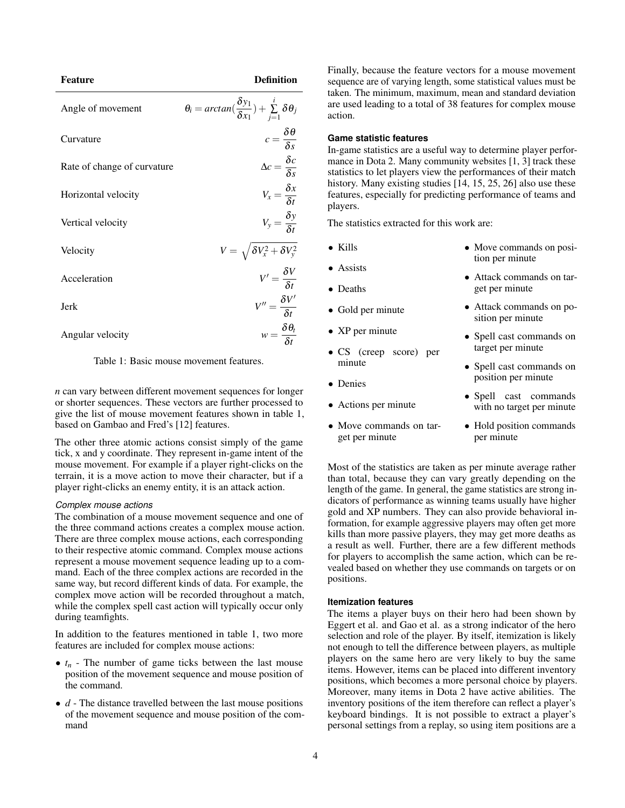| <b>Feature</b>              | <b>Definition</b>                                                                  |
|-----------------------------|------------------------------------------------------------------------------------|
| Angle of movement           | $\theta_i = \arctan(\frac{\delta y_1}{\delta x_1}) + \sum_{i=1}^i \delta \theta_i$ |
| Curvature                   | $c = \frac{\delta \theta}{\delta s}$                                               |
| Rate of change of curvature | $\Delta c = \frac{\delta c}{\delta s}$                                             |
| Horizontal velocity         | $V_x = \frac{\delta x}{\delta t}$                                                  |
| Vertical velocity           | $V_y = \frac{\delta y}{\delta t}$                                                  |
| Velocity                    | $V = \sqrt{\delta V_x^2 + \delta V_y^2}$                                           |
| Acceleration                | $V' = \frac{\delta V}{\delta t}$                                                   |
| Jerk                        | $V'' = \frac{\delta V'}{s_t}$                                                      |
| Angular velocity            | $w = \frac{\delta \theta_t}{\delta t}$                                             |

Table 1: Basic mouse movement features.

*n* can vary between different movement sequences for longer or shorter sequences. These vectors are further processed to give the list of mouse movement features shown in table 1, based on Gambao and Fred's [12] features.

The other three atomic actions consist simply of the game tick, x and y coordinate. They represent in-game intent of the mouse movement. For example if a player right-clicks on the terrain, it is a move action to move their character, but if a player right-clicks an enemy entity, it is an attack action.

# *Complex mouse actions*

The combination of a mouse movement sequence and one of the three command actions creates a complex mouse action. There are three complex mouse actions, each corresponding to their respective atomic command. Complex mouse actions represent a mouse movement sequence leading up to a command. Each of the three complex actions are recorded in the same way, but record different kinds of data. For example, the complex move action will be recorded throughout a match, while the complex spell cast action will typically occur only during teamfights.

In addition to the features mentioned in table 1, two more features are included for complex mouse actions:

- $\bullet$   $t_n$  The number of game ticks between the last mouse position of the movement sequence and mouse position of the command.
- *d* The distance travelled between the last mouse positions of the movement sequence and mouse position of the command

Finally, because the feature vectors for a mouse movement sequence are of varying length, some statistical values must be taken. The minimum, maximum, mean and standard deviation are used leading to a total of 38 features for complex mouse action.

# **Game statistic features**

In-game statistics are a useful way to determine player performance in Dota 2. Many community websites [1, 3] track these statistics to let players view the performances of their match history. Many existing studies [14, 15, 25, 26] also use these features, especially for predicting performance of teams and players.

The statistics extracted for this work are:

- Kills
- Assists
- Deaths
- Gold per minute
- XP per minute
- CS (creep score) per minute
- Denies
- Actions per minute
- Move commands on target per minute
- Move commands on position per minute
- Attack commands on target per minute
- Attack commands on position per minute
- Spell cast commands on target per minute
- Spell cast commands on position per minute
- Spell cast commands with no target per minute
- Hold position commands per minute

Most of the statistics are taken as per minute average rather than total, because they can vary greatly depending on the length of the game. In general, the game statistics are strong indicators of performance as winning teams usually have higher gold and XP numbers. They can also provide behavioral information, for example aggressive players may often get more kills than more passive players, they may get more deaths as a result as well. Further, there are a few different methods for players to accomplish the same action, which can be revealed based on whether they use commands on targets or on positions.

### **Itemization features**

The items a player buys on their hero had been shown by Eggert et al. and Gao et al. as a strong indicator of the hero selection and role of the player. By itself, itemization is likely not enough to tell the difference between players, as multiple players on the same hero are very likely to buy the same items. However, items can be placed into different inventory positions, which becomes a more personal choice by players. Moreover, many items in Dota 2 have active abilities. The inventory positions of the item therefore can reflect a player's keyboard bindings. It is not possible to extract a player's personal settings from a replay, so using item positions are a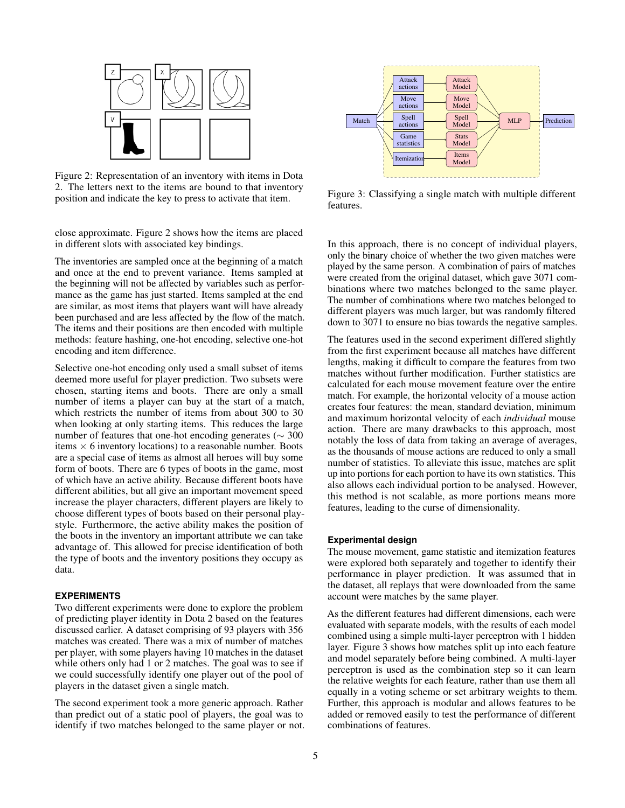

Figure 2: Representation of an inventory with items in Dota 2. The letters next to the items are bound to that inventory position and indicate the key to press to activate that item.

close approximate. Figure 2 shows how the items are placed in different slots with associated key bindings.

The inventories are sampled once at the beginning of a match and once at the end to prevent variance. Items sampled at the beginning will not be affected by variables such as performance as the game has just started. Items sampled at the end are similar, as most items that players want will have already been purchased and are less affected by the flow of the match. The items and their positions are then encoded with multiple methods: feature hashing, one-hot encoding, selective one-hot encoding and item difference.

Selective one-hot encoding only used a small subset of items deemed more useful for player prediction. Two subsets were chosen, starting items and boots. There are only a small number of items a player can buy at the start of a match, which restricts the number of items from about 300 to 30 when looking at only starting items. This reduces the large number of features that one-hot encoding generates ( $\sim$  300 items  $\times$  6 inventory locations) to a reasonable number. Boots are a special case of items as almost all heroes will buy some form of boots. There are 6 types of boots in the game, most of which have an active ability. Because different boots have different abilities, but all give an important movement speed increase the player characters, different players are likely to choose different types of boots based on their personal playstyle. Furthermore, the active ability makes the position of the boots in the inventory an important attribute we can take advantage of. This allowed for precise identification of both the type of boots and the inventory positions they occupy as data.

### **EXPERIMENTS**

Two different experiments were done to explore the problem of predicting player identity in Dota 2 based on the features discussed earlier. A dataset comprising of 93 players with 356 matches was created. There was a mix of number of matches per player, with some players having 10 matches in the dataset while others only had 1 or 2 matches. The goal was to see if we could successfully identify one player out of the pool of players in the dataset given a single match.

The second experiment took a more generic approach. Rather than predict out of a static pool of players, the goal was to identify if two matches belonged to the same player or not.



Figure 3: Classifying a single match with multiple different features.

In this approach, there is no concept of individual players, only the binary choice of whether the two given matches were played by the same person. A combination of pairs of matches were created from the original dataset, which gave 3071 combinations where two matches belonged to the same player. The number of combinations where two matches belonged to different players was much larger, but was randomly filtered down to 3071 to ensure no bias towards the negative samples.

The features used in the second experiment differed slightly from the first experiment because all matches have different lengths, making it difficult to compare the features from two matches without further modification. Further statistics are calculated for each mouse movement feature over the entire match. For example, the horizontal velocity of a mouse action creates four features: the mean, standard deviation, minimum and maximum horizontal velocity of each *individual* mouse action. There are many drawbacks to this approach, most notably the loss of data from taking an average of averages, as the thousands of mouse actions are reduced to only a small number of statistics. To alleviate this issue, matches are split up into portions for each portion to have its own statistics. This also allows each individual portion to be analysed. However, this method is not scalable, as more portions means more features, leading to the curse of dimensionality.

### **Experimental design**

The mouse movement, game statistic and itemization features were explored both separately and together to identify their performance in player prediction. It was assumed that in the dataset, all replays that were downloaded from the same account were matches by the same player.

As the different features had different dimensions, each were evaluated with separate models, with the results of each model combined using a simple multi-layer perceptron with 1 hidden layer. Figure 3 shows how matches split up into each feature and model separately before being combined. A multi-layer perceptron is used as the combination step so it can learn the relative weights for each feature, rather than use them all equally in a voting scheme or set arbitrary weights to them. Further, this approach is modular and allows features to be added or removed easily to test the performance of different combinations of features.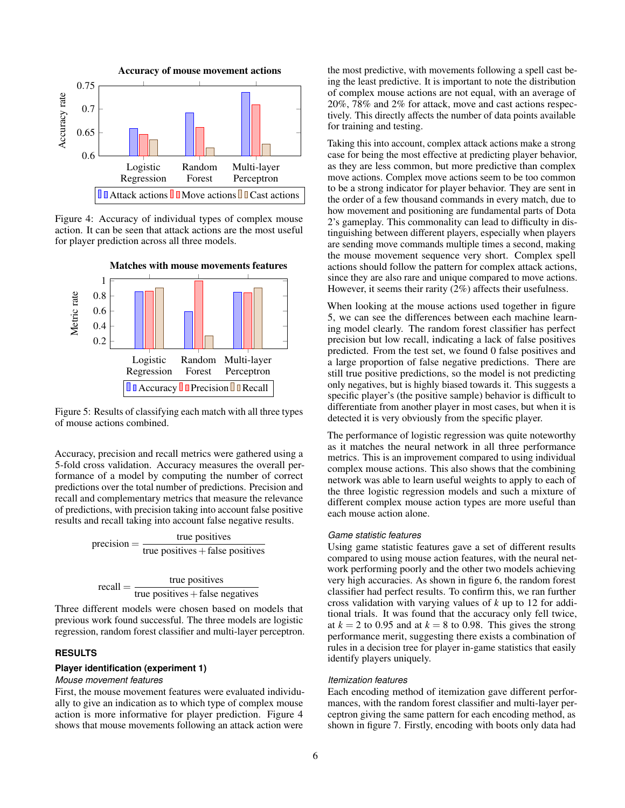

Figure 4: Accuracy of individual types of complex mouse action. It can be seen that attack actions are the most useful for player prediction across all three models.



Figure 5: Results of classifying each match with all three types of mouse actions combined.

Accuracy, precision and recall metrics were gathered using a 5-fold cross validation. Accuracy measures the overall performance of a model by computing the number of correct predictions over the total number of predictions. Precision and recall and complementary metrics that measure the relevance of predictions, with precision taking into account false positive results and recall taking into account false negative results.

$$
precision = \frac{true \ positives}{true \ positives + false \ positives}
$$

$$
recall = \frac{true \text{ positives}}{true \text{ positives} + false \text{ negatives}}
$$

Three different models were chosen based on models that previous work found successful. The three models are logistic regression, random forest classifier and multi-layer perceptron.

# **RESULTS**

### **Player identification (experiment 1)**

# *Mouse movement features*

First, the mouse movement features were evaluated individually to give an indication as to which type of complex mouse action is more informative for player prediction. Figure 4 shows that mouse movements following an attack action were

the most predictive, with movements following a spell cast being the least predictive. It is important to note the distribution of complex mouse actions are not equal, with an average of 20%, 78% and 2% for attack, move and cast actions respectively. This directly affects the number of data points available for training and testing.

Taking this into account, complex attack actions make a strong case for being the most effective at predicting player behavior, as they are less common, but more predictive than complex move actions. Complex move actions seem to be too common to be a strong indicator for player behavior. They are sent in the order of a few thousand commands in every match, due to how movement and positioning are fundamental parts of Dota 2's gameplay. This commonality can lead to difficulty in distinguishing between different players, especially when players are sending move commands multiple times a second, making the mouse movement sequence very short. Complex spell actions should follow the pattern for complex attack actions, since they are also rare and unique compared to move actions. However, it seems their rarity (2%) affects their usefulness.

When looking at the mouse actions used together in figure 5, we can see the differences between each machine learning model clearly. The random forest classifier has perfect precision but low recall, indicating a lack of false positives predicted. From the test set, we found 0 false positives and a large proportion of false negative predictions. There are still true positive predictions, so the model is not predicting only negatives, but is highly biased towards it. This suggests a specific player's (the positive sample) behavior is difficult to differentiate from another player in most cases, but when it is detected it is very obviously from the specific player.

The performance of logistic regression was quite noteworthy as it matches the neural network in all three performance metrics. This is an improvement compared to using individual complex mouse actions. This also shows that the combining network was able to learn useful weights to apply to each of the three logistic regression models and such a mixture of different complex mouse action types are more useful than each mouse action alone.

### *Game statistic features*

Using game statistic features gave a set of different results compared to using mouse action features, with the neural network performing poorly and the other two models achieving very high accuracies. As shown in figure 6, the random forest classifier had perfect results. To confirm this, we ran further cross validation with varying values of *k* up to 12 for additional trials. It was found that the accuracy only fell twice, at  $k = 2$  to 0.95 and at  $k = 8$  to 0.98. This gives the strong performance merit, suggesting there exists a combination of rules in a decision tree for player in-game statistics that easily identify players uniquely.

### *Itemization features*

Each encoding method of itemization gave different performances, with the random forest classifier and multi-layer perceptron giving the same pattern for each encoding method, as shown in figure 7. Firstly, encoding with boots only data had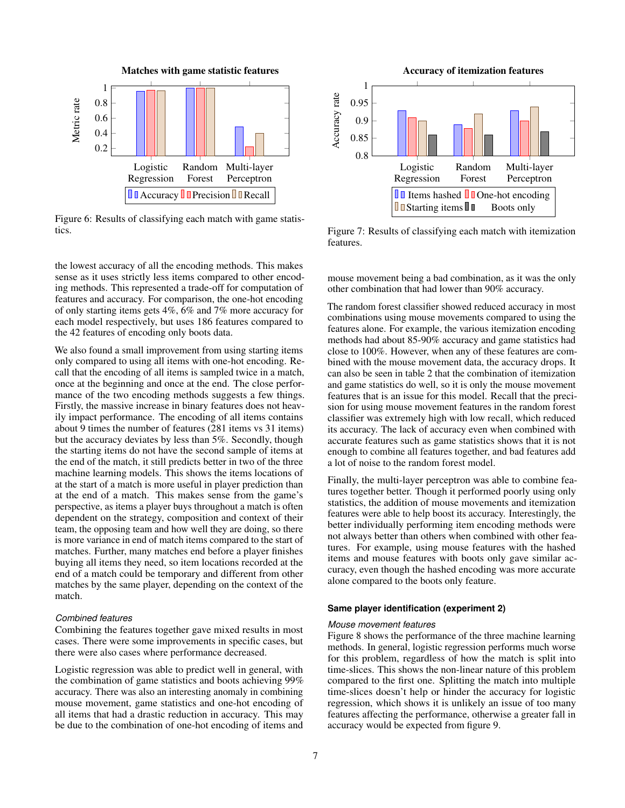

Figure 6: Results of classifying each match with game statistics.

the lowest accuracy of all the encoding methods. This makes sense as it uses strictly less items compared to other encoding methods. This represented a trade-off for computation of features and accuracy. For comparison, the one-hot encoding of only starting items gets 4%, 6% and 7% more accuracy for each model respectively, but uses 186 features compared to the 42 features of encoding only boots data.

We also found a small improvement from using starting items only compared to using all items with one-hot encoding. Recall that the encoding of all items is sampled twice in a match, once at the beginning and once at the end. The close performance of the two encoding methods suggests a few things. Firstly, the massive increase in binary features does not heavily impact performance. The encoding of all items contains about 9 times the number of features (281 items vs 31 items) but the accuracy deviates by less than 5%. Secondly, though the starting items do not have the second sample of items at the end of the match, it still predicts better in two of the three machine learning models. This shows the items locations of at the start of a match is more useful in player prediction than at the end of a match. This makes sense from the game's perspective, as items a player buys throughout a match is often dependent on the strategy, composition and context of their team, the opposing team and how well they are doing, so there is more variance in end of match items compared to the start of matches. Further, many matches end before a player finishes buying all items they need, so item locations recorded at the end of a match could be temporary and different from other matches by the same player, depending on the context of the match.

# *Combined features*

Combining the features together gave mixed results in most cases. There were some improvements in specific cases, but there were also cases where performance decreased.

Logistic regression was able to predict well in general, with the combination of game statistics and boots achieving 99% accuracy. There was also an interesting anomaly in combining mouse movement, game statistics and one-hot encoding of all items that had a drastic reduction in accuracy. This may be due to the combination of one-hot encoding of items and



Figure 7: Results of classifying each match with itemization features.

mouse movement being a bad combination, as it was the only other combination that had lower than 90% accuracy.

The random forest classifier showed reduced accuracy in most combinations using mouse movements compared to using the features alone. For example, the various itemization encoding methods had about 85-90% accuracy and game statistics had close to 100%. However, when any of these features are combined with the mouse movement data, the accuracy drops. It can also be seen in table 2 that the combination of itemization and game statistics do well, so it is only the mouse movement features that is an issue for this model. Recall that the precision for using mouse movement features in the random forest classifier was extremely high with low recall, which reduced its accuracy. The lack of accuracy even when combined with accurate features such as game statistics shows that it is not enough to combine all features together, and bad features add a lot of noise to the random forest model.

Finally, the multi-layer perceptron was able to combine features together better. Though it performed poorly using only statistics, the addition of mouse movements and itemization features were able to help boost its accuracy. Interestingly, the better individually performing item encoding methods were not always better than others when combined with other features. For example, using mouse features with the hashed items and mouse features with boots only gave similar accuracy, even though the hashed encoding was more accurate alone compared to the boots only feature.

#### **Same player identification (experiment 2)**

#### *Mouse movement features*

Figure 8 shows the performance of the three machine learning methods. In general, logistic regression performs much worse for this problem, regardless of how the match is split into time-slices. This shows the non-linear nature of this problem compared to the first one. Splitting the match into multiple time-slices doesn't help or hinder the accuracy for logistic regression, which shows it is unlikely an issue of too many features affecting the performance, otherwise a greater fall in accuracy would be expected from figure 9.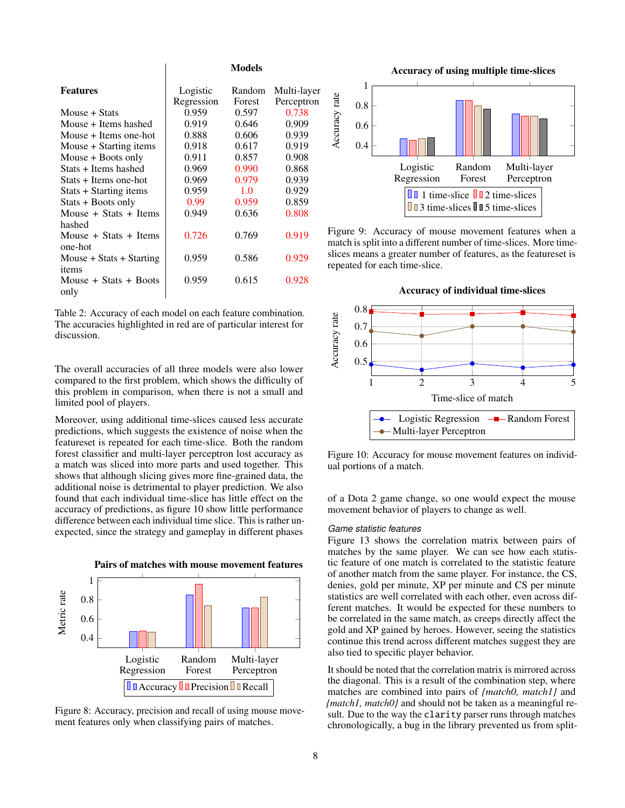|                              | <b>Models</b> |        |             |
|------------------------------|---------------|--------|-------------|
| <b>Features</b>              | Logistic      | Random | Multi-layer |
|                              | Regression    | Forest | Perceptron  |
| Mouse + Stats                | 0.959         | 0.597  | 0.738       |
| Mouse + Items hashed         | 0.919         | 0.646  | 0.909       |
| Mouse $+$ Items one-hot      | 0.888         | 0.606  | 0.939       |
| Mouse + Starting items       | 0.918         | 0.617  | 0.919       |
| Mouse $+$ Boots only         | 0.911         | 0.857  | 0.908       |
| Stats + Items hashed         | 0.969         | 0.990  | 0.868       |
| Stats + Items one-hot        | 0.969         | 0.979  | 0.939       |
| Stats + Starting items       | 0.959         | 1.0    | 0.929       |
| Stats + Boots only           | 0.99          | 0.959  | 0.859       |
| Mouse $+$ Stats $+$ Items    | 0.949         | 0.636  | 0.808       |
| hashed                       |               |        |             |
| Mouse $+$ Stats $+$ Items    | 0.726         | 0.769  | 0.919       |
| one-hot                      |               |        |             |
| Mouse $+$ Stats $+$ Starting | 0.959         | 0.586  | 0.929       |
| items                        |               |        |             |
| Mouse $+$ Stats $+$ Boots    | 0.959         | 0.615  | 0.928       |
| only                         |               |        |             |
|                              |               |        |             |

Table 2: Accuracy of each model on each feature combination. The accuracies highlighted in red are of particular interest for discussion.

The overall accuracies of all three models were also lower compared to the first problem, which shows the difficulty of this problem in comparison, when there is not a small and limited pool of players.

Moreover, using additional time-slices caused less accurate predictions, which suggests the existence of noise when the featureset is repeated for each time-slice. Both the random forest classifier and multi-layer perceptron lost accuracy as a match was sliced into more parts and used together. This shows that although slicing gives more fine-grained data, the additional noise is detrimental to player prediction. We also found that each individual time-slice has little effect on the accuracy of predictions, as figure 10 show little performance difference between each individual time slice. This is rather unexpected, since the strategy and gameplay in different phases



Figure 8: Accuracy, precision and recall of using mouse movement features only when classifying pairs of matches.



Figure 9: Accuracy of mouse movement features when a match is split into a different number of time-slices. More timeslices means a greater number of features, as the featureset is repeated for each time-slice.

Accuracy of individual time-slices



Figure 10: Accuracy for mouse movement features on individual portions of a match.

of a Dota 2 game change, so one would expect the mouse movement behavior of players to change as well.

# *Game statistic features*

Figure 13 shows the correlation matrix between pairs of matches by the same player. We can see how each statistic feature of one match is correlated to the statistic feature of another match from the same player. For instance, the CS, denies, gold per minute, XP per minute and CS per minute statistics are well correlated with each other, even across different matches. It would be expected for these numbers to be correlated in the same match, as creeps directly affect the gold and XP gained by heroes. However, seeing the statistics continue this trend across different matches suggest they are also tied to specific player behavior.

It should be noted that the correlation matrix is mirrored across the diagonal. This is a result of the combination step, where matches are combined into pairs of *{match0, match1}* and *{match1, match0}* and should not be taken as a meaningful result. Due to the way the clarity parser runs through matches chronologically, a bug in the library prevented us from split-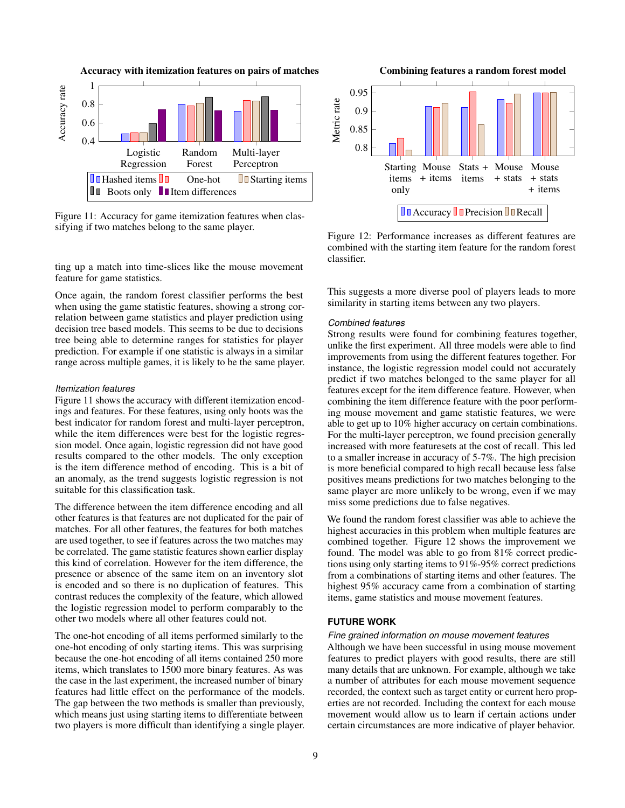

Figure 11: Accuracy for game itemization features when classifying if two matches belong to the same player.

ting up a match into time-slices like the mouse movement feature for game statistics.

Once again, the random forest classifier performs the best when using the game statistic features, showing a strong correlation between game statistics and player prediction using decision tree based models. This seems to be due to decisions tree being able to determine ranges for statistics for player prediction. For example if one statistic is always in a similar range across multiple games, it is likely to be the same player.

### *Itemization features*

Figure 11 shows the accuracy with different itemization encodings and features. For these features, using only boots was the best indicator for random forest and multi-layer perceptron, while the item differences were best for the logistic regression model. Once again, logistic regression did not have good results compared to the other models. The only exception is the item difference method of encoding. This is a bit of an anomaly, as the trend suggests logistic regression is not suitable for this classification task.

The difference between the item difference encoding and all other features is that features are not duplicated for the pair of matches. For all other features, the features for both matches are used together, to see if features across the two matches may be correlated. The game statistic features shown earlier display this kind of correlation. However for the item difference, the presence or absence of the same item on an inventory slot is encoded and so there is no duplication of features. This contrast reduces the complexity of the feature, which allowed the logistic regression model to perform comparably to the other two models where all other features could not.

The one-hot encoding of all items performed similarly to the one-hot encoding of only starting items. This was surprising because the one-hot encoding of all items contained 250 more items, which translates to 1500 more binary features. As was the case in the last experiment, the increased number of binary features had little effect on the performance of the models. The gap between the two methods is smaller than previously, which means just using starting items to differentiate between two players is more difficult than identifying a single player.



Figure 12: Performance increases as different features are combined with the starting item feature for the random forest classifier.

This suggests a more diverse pool of players leads to more similarity in starting items between any two players.

#### *Combined features*

Strong results were found for combining features together, unlike the first experiment. All three models were able to find improvements from using the different features together. For instance, the logistic regression model could not accurately predict if two matches belonged to the same player for all features except for the item difference feature. However, when combining the item difference feature with the poor performing mouse movement and game statistic features, we were able to get up to 10% higher accuracy on certain combinations. For the multi-layer perceptron, we found precision generally increased with more featuresets at the cost of recall. This led to a smaller increase in accuracy of 5-7%. The high precision is more beneficial compared to high recall because less false positives means predictions for two matches belonging to the same player are more unlikely to be wrong, even if we may miss some predictions due to false negatives.

We found the random forest classifier was able to achieve the highest accuracies in this problem when multiple features are combined together. Figure 12 shows the improvement we found. The model was able to go from 81% correct predictions using only starting items to 91%-95% correct predictions from a combinations of starting items and other features. The highest 95% accuracy came from a combination of starting items, game statistics and mouse movement features.

# **FUTURE WORK**

### *Fine grained information on mouse movement features*

Although we have been successful in using mouse movement features to predict players with good results, there are still many details that are unknown. For example, although we take a number of attributes for each mouse movement sequence recorded, the context such as target entity or current hero properties are not recorded. Including the context for each mouse movement would allow us to learn if certain actions under certain circumstances are more indicative of player behavior.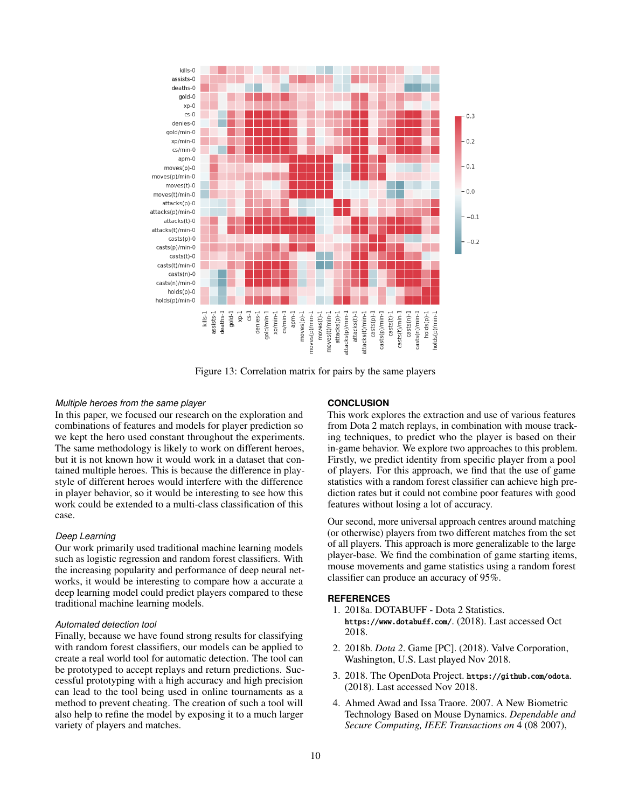

Figure 13: Correlation matrix for pairs by the same players

### *Multiple heroes from the same player*

In this paper, we focused our research on the exploration and combinations of features and models for player prediction so we kept the hero used constant throughout the experiments. The same methodology is likely to work on different heroes, but it is not known how it would work in a dataset that contained multiple heroes. This is because the difference in playstyle of different heroes would interfere with the difference in player behavior, so it would be interesting to see how this work could be extended to a multi-class classification of this case.

### *Deep Learning*

Our work primarily used traditional machine learning models such as logistic regression and random forest classifiers. With the increasing popularity and performance of deep neural networks, it would be interesting to compare how a accurate a deep learning model could predict players compared to these traditional machine learning models.

### *Automated detection tool*

Finally, because we have found strong results for classifying with random forest classifiers, our models can be applied to create a real world tool for automatic detection. The tool can be prototyped to accept replays and return predictions. Successful prototyping with a high accuracy and high precision can lead to the tool being used in online tournaments as a method to prevent cheating. The creation of such a tool will also help to refine the model by exposing it to a much larger variety of players and matches.

# **CONCLUSION**

This work explores the extraction and use of various features from Dota 2 match replays, in combination with mouse tracking techniques, to predict who the player is based on their in-game behavior. We explore two approaches to this problem. Firstly, we predict identity from specific player from a pool of players. For this approach, we find that the use of game statistics with a random forest classifier can achieve high prediction rates but it could not combine poor features with good features without losing a lot of accuracy.

Our second, more universal approach centres around matching (or otherwise) players from two different matches from the set of all players. This approach is more generalizable to the large player-base. We find the combination of game starting items, mouse movements and game statistics using a random forest classifier can produce an accuracy of 95%.

### **REFERENCES**

- 1. 2018a. DOTABUFF Dota 2 Statistics. https://www.dotabuff.com/. (2018). Last accessed Oct 2018.
- 2. 2018b. *Dota 2*. Game [PC]. (2018). Valve Corporation, Washington, U.S. Last played Nov 2018.
- 3. 2018. The OpenDota Project. https://github.com/odota. (2018). Last accessed Nov 2018.
- 4. Ahmed Awad and Issa Traore. 2007. A New Biometric Technology Based on Mouse Dynamics. *Dependable and Secure Computing, IEEE Transactions on* 4 (08 2007),